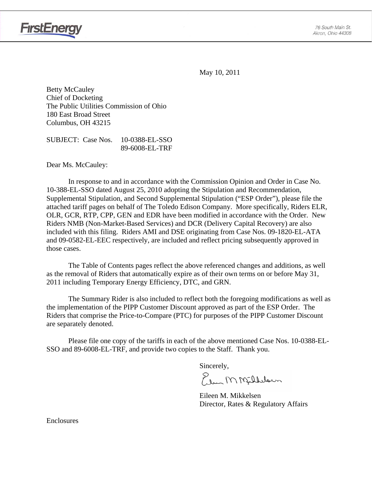

May 10, 2011

Betty McCauley Chief of Docketing The Public Utilities Commission of Ohio 180 East Broad Street Columbus, OH 43215

SUBJECT: Case Nos. 10-0388-EL-SSO 89-6008-EL-TRF

Dear Ms. McCauley:

In response to and in accordance with the Commission Opinion and Order in Case No. 10-388-EL-SSO dated August 25, 2010 adopting the Stipulation and Recommendation, Supplemental Stipulation, and Second Supplemental Stipulation ("ESP Order"), please file the attached tariff pages on behalf of The Toledo Edison Company. More specifically, Riders ELR, OLR, GCR, RTP, CPP, GEN and EDR have been modified in accordance with the Order. New Riders NMB (Non-Market-Based Services) and DCR (Delivery Capital Recovery) are also included with this filing. Riders AMI and DSE originating from Case Nos. 09-1820-EL-ATA and 09-0582-EL-EEC respectively, are included and reflect pricing subsequently approved in those cases.

The Table of Contents pages reflect the above referenced changes and additions, as well as the removal of Riders that automatically expire as of their own terms on or before May 31, 2011 including Temporary Energy Efficiency, DTC, and GRN.

The Summary Rider is also included to reflect both the foregoing modifications as well as the implementation of the PIPP Customer Discount approved as part of the ESP Order. The Riders that comprise the Price-to-Compare (PTC) for purposes of the PIPP Customer Discount are separately denoted.

Please file one copy of the tariffs in each of the above mentioned Case Nos. 10-0388-EL-SSO and 89-6008-EL-TRF, and provide two copies to the Staff. Thank you.

Sincerely,<br>Elem M Milbelsum

 Eileen M. Mikkelsen Director, Rates & Regulatory Affairs

Enclosures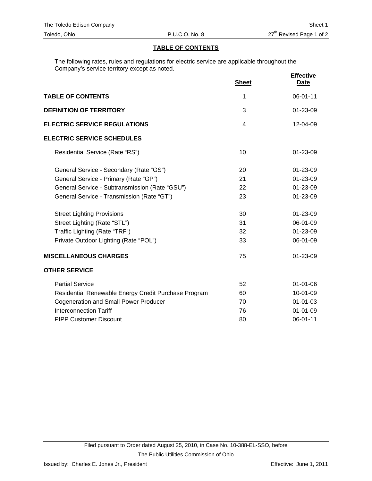#### **TABLE OF CONTENTS**

The following rates, rules and regulations for electric service are applicable throughout the Company's service territory except as noted.

|                                                      | <b>Sheet</b>   | <b>Effective</b><br><b>Date</b> |
|------------------------------------------------------|----------------|---------------------------------|
| <b>TABLE OF CONTENTS</b>                             | 1              | 06-01-11                        |
| <b>DEFINITION OF TERRITORY</b>                       | 3              | 01-23-09                        |
| <b>ELECTRIC SERVICE REGULATIONS</b>                  | $\overline{4}$ | $12 - 04 - 09$                  |
| <b>ELECTRIC SERVICE SCHEDULES</b>                    |                |                                 |
| Residential Service (Rate "RS")                      | 10             | 01-23-09                        |
| General Service - Secondary (Rate "GS")              | 20             | 01-23-09                        |
| General Service - Primary (Rate "GP")                | 21             | 01-23-09                        |
| General Service - Subtransmission (Rate "GSU")       | 22             | 01-23-09                        |
| General Service - Transmission (Rate "GT")           | 23             | 01-23-09                        |
| <b>Street Lighting Provisions</b>                    | 30             | 01-23-09                        |
| Street Lighting (Rate "STL")                         | 31             | 06-01-09                        |
| Traffic Lighting (Rate "TRF")                        | 32             | 01-23-09                        |
| Private Outdoor Lighting (Rate "POL")                | 33             | 06-01-09                        |
| <b>MISCELLANEOUS CHARGES</b>                         | 75             | $01 - 23 - 09$                  |
| <b>OTHER SERVICE</b>                                 |                |                                 |
| <b>Partial Service</b>                               | 52             | $01 - 01 - 06$                  |
| Residential Renewable Energy Credit Purchase Program | 60             | 10-01-09                        |
| <b>Cogeneration and Small Power Producer</b>         | 70             | $01 - 01 - 03$                  |
| <b>Interconnection Tariff</b>                        | 76             | $01 - 01 - 09$                  |
| <b>PIPP Customer Discount</b>                        | 80             | 06-01-11                        |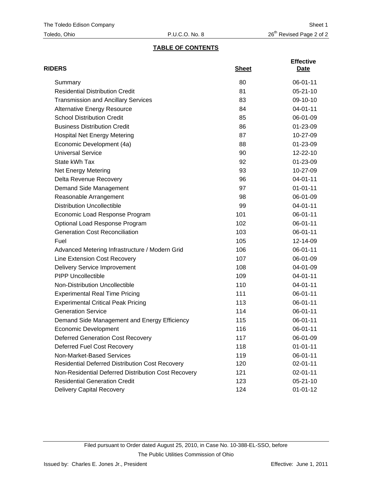# **TABLE OF CONTENTS**

| <b>RIDERS</b>                                          | <b>Sheet</b> | <b>Effective</b><br>Date |
|--------------------------------------------------------|--------------|--------------------------|
| Summary                                                | 80           | 06-01-11                 |
| <b>Residential Distribution Credit</b>                 | 81           | $05 - 21 - 10$           |
| <b>Transmission and Ancillary Services</b>             | 83           | 09-10-10                 |
| <b>Alternative Energy Resource</b>                     | 84           | 04-01-11                 |
| <b>School Distribution Credit</b>                      | 85           | 06-01-09                 |
| <b>Business Distribution Credit</b>                    | 86           | 01-23-09                 |
| <b>Hospital Net Energy Metering</b>                    | 87           | 10-27-09                 |
| Economic Development (4a)                              | 88           | 01-23-09                 |
| <b>Universal Service</b>                               | 90           | 12-22-10                 |
| State kWh Tax                                          | 92           | 01-23-09                 |
| Net Energy Metering                                    | 93           | 10-27-09                 |
| <b>Delta Revenue Recovery</b>                          | 96           | 04-01-11                 |
| Demand Side Management                                 | 97           | $01 - 01 - 11$           |
| Reasonable Arrangement                                 | 98           | 06-01-09                 |
| <b>Distribution Uncollectible</b>                      | 99           | 04-01-11                 |
| Economic Load Response Program                         | 101          | 06-01-11                 |
| Optional Load Response Program                         | 102          | 06-01-11                 |
| <b>Generation Cost Reconciliation</b>                  | 103          | 06-01-11                 |
| Fuel                                                   | 105          | 12-14-09                 |
| Advanced Metering Infrastructure / Modern Grid         | 106          | 06-01-11                 |
| Line Extension Cost Recovery                           | 107          | 06-01-09                 |
| <b>Delivery Service Improvement</b>                    | 108          | 04-01-09                 |
| <b>PIPP Uncollectible</b>                              | 109          | 04-01-11                 |
| Non-Distribution Uncollectible                         | 110          | 04-01-11                 |
| <b>Experimental Real Time Pricing</b>                  | 111          | 06-01-11                 |
| <b>Experimental Critical Peak Pricing</b>              | 113          | 06-01-11                 |
| <b>Generation Service</b>                              | 114          | 06-01-11                 |
| Demand Side Management and Energy Efficiency           | 115          | 06-01-11                 |
| <b>Economic Development</b>                            | 116          | 06-01-11                 |
| <b>Deferred Generation Cost Recovery</b>               | 117          | 06-01-09                 |
| Deferred Fuel Cost Recovery                            | 118          | $01 - 01 - 11$           |
| Non-Market-Based Services                              | 119          | 06-01-11                 |
| <b>Residential Deferred Distribution Cost Recovery</b> | 120          | 02-01-11                 |
| Non-Residential Deferred Distribution Cost Recovery    | 121          | $02 - 01 - 11$           |
| <b>Residential Generation Credit</b>                   | 123          | $05 - 21 - 10$           |
| <b>Delivery Capital Recovery</b>                       | 124          | $01 - 01 - 12$           |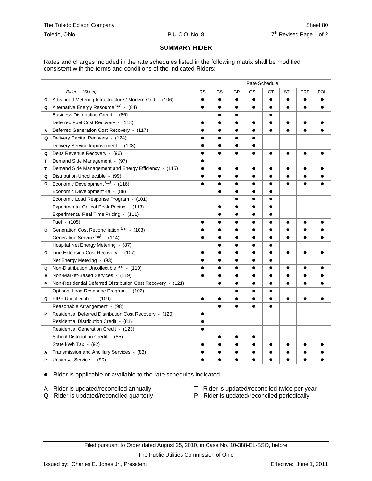## **SUMMARY RIDER**

Rates and charges included in the rate schedules listed in the following matrix shall be modified consistent with the terms and conditions of the indicated Riders:

|   |                                                             | Rate Schedule |           |           |           |           |           |            |           |
|---|-------------------------------------------------------------|---------------|-----------|-----------|-----------|-----------|-----------|------------|-----------|
|   | Rider - (Sheet)                                             | <b>RS</b>     | GS        | GP        | GSU       | GT        | STL       | <b>TRF</b> | POL       |
| Q | Advanced Metering Infrastructure / Modern Grid - (106)      | $\bullet$     | $\bullet$ | $\bullet$ | $\bullet$ | $\bullet$ | $\bullet$ | $\bullet$  |           |
| Q | Alternative Energy Resource <sup>(**)</sup> - (84)          | $\bullet$     |           |           | $\bullet$ | $\bullet$ | $\bullet$ |            |           |
|   | Business Distribution Credit - (86)                         |               | $\bullet$ |           |           | $\bullet$ |           |            |           |
|   | Deferred Fuel Cost Recovery - (118)                         | $\bullet$     |           |           | $\bullet$ | $\bullet$ | $\bullet$ | $\bullet$  |           |
| A | Deferred Generation Cost Recovery - (117)                   |               | $\bullet$ | ●         | $\bullet$ | $\bullet$ | $\bullet$ | $\bullet$  |           |
| Q | Delivery Capital Recovery - (124)                           | $\bullet$     |           |           |           |           |           |            |           |
|   | Delivery Service Improvement - (108)                        | $\bullet$     |           |           |           |           |           |            |           |
| Q | Delta Revenue Recovery - (96)                               | $\bullet$     | $\bullet$ |           | $\bullet$ | $\bullet$ | $\bullet$ | $\bullet$  | $\bullet$ |
| T | Demand Side Management - (97)                               |               |           |           |           |           |           |            |           |
| Т | Demand Side Management and Energy Efficiency - (115)        | $\bullet$     | $\bullet$ | $\bullet$ | $\bullet$ | $\bullet$ | $\bullet$ | $\bullet$  |           |
| Q | Distribution Uncollectible - (99)                           |               | $\bullet$ |           |           | $\bullet$ | $\bullet$ | $\bullet$  |           |
| Q | Economic Development <sup>(**)</sup> - (116)                | $\bullet$     |           |           |           | $\bullet$ | $\bullet$ | $\bullet$  |           |
|   | Economic Development 4a - (88)                              |               |           | e         |           | $\bullet$ |           |            |           |
|   | Economic Load Response Program - (101)                      |               |           |           |           | $\bullet$ |           |            |           |
|   | Experimental Critical Peak Pricing - (113)                  |               | $\bullet$ |           |           | $\bullet$ |           |            |           |
|   | Experimental Real Time Pricing - (111)                      |               |           |           | $\bullet$ | $\bullet$ |           |            |           |
|   | Fuel - (105)                                                | $\bullet$     | $\bullet$ |           | $\bullet$ | $\bullet$ | $\bullet$ | $\bullet$  |           |
| Q | Generation Cost Reconciliation (**) - (103)                 | $\bullet$     | $\bullet$ |           | $\bullet$ | $\bullet$ | $\bullet$ | $\bullet$  |           |
|   | Generation Service <sup>(**)</sup> - (114)                  | $\bullet$     | $\bullet$ |           | $\bullet$ | $\bullet$ | $\bullet$ | $\bullet$  |           |
|   | Hospital Net Energy Metering - (87)                         |               | $\bullet$ |           | $\bullet$ | $\bullet$ |           |            |           |
| Q | Line Extension Cost Recovery - (107)                        | $\bullet$     | $\bullet$ |           | $\bullet$ | $\bullet$ | $\bullet$ | $\bullet$  | $\bullet$ |
|   | Net Energy Metering - (93)                                  | $\bullet$     | $\bullet$ | $\bullet$ | $\bullet$ | $\bullet$ |           |            |           |
| Q | Non-Distribution Uncollectible (**) - (110)                 | $\bullet$     | $\bullet$ | $\bullet$ | $\bullet$ | $\bullet$ | $\bullet$ | $\bullet$  |           |
| Α | Non-Market-Based Services - (119)                           | $\bullet$     | $\bullet$ | $\bullet$ | $\bullet$ | $\bullet$ | $\bullet$ | $\bullet$  | ●         |
| P | Non-Residential Deferred Distribution Cost Recovery - (121) |               | $\bullet$ | $\bullet$ |           | $\bullet$ | $\bullet$ | $\bullet$  | ●         |
|   | Optional Load Response Program - (102)                      |               |           | $\bullet$ | $\bullet$ | $\bullet$ |           |            |           |
| Q | PIPP Uncollectible - (109)                                  | $\bullet$     | $\bullet$ | $\bullet$ | $\bullet$ | $\bullet$ | $\bullet$ | $\bullet$  | $\bullet$ |
|   | Reasonable Arrangement - (98)                               |               | $\bullet$ | $\bullet$ | $\bullet$ | $\bullet$ |           |            |           |
| P | Residential Deferred Distribution Cost Recovery - (120)     | $\bullet$     |           |           |           |           |           |            |           |
|   | Residential Distribution Credit - (81)                      | $\bullet$     |           |           |           |           |           |            |           |
|   | Residential Generation Credit - (123)                       | $\bullet$     |           |           |           |           |           |            |           |
|   | School Distribution Credit - (85)                           |               | $\bullet$ | $\bullet$ | $\bullet$ |           |           |            |           |
|   | State kWh Tax - (92)                                        | $\bullet$     | $\bullet$ | $\bullet$ | $\bullet$ | $\bullet$ | $\bullet$ | $\bullet$  |           |
| A | Transmission and Ancillary Services - (83)                  | $\bullet$     | $\bullet$ | $\bullet$ | $\bullet$ | $\bullet$ | $\bullet$ | ●          |           |
| P | Universal Service - (90)                                    |               | $\bullet$ | $\bullet$ |           | $\bullet$ | ●         | $\bullet$  |           |

 $\bullet$  - Rider is applicable or available to the rate schedules indicated

- 
- A Rider is updated/reconciled annually  $\begin{array}{ccc}\n\bullet & \bullet & \bullet \\
\bullet & \bullet & \bullet\n\end{array}$  T Rider is updated/reconciled twice per year Q Rider is updated/reconciled periodically
	-
	- P Rider is updated/reconciled periodically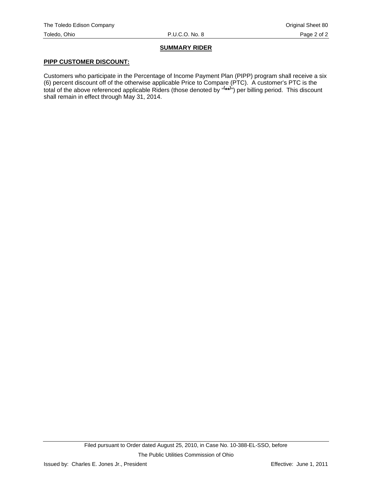# **SUMMARY RIDER**

## **PIPP CUSTOMER DISCOUNT:**

Customers who participate in the Percentage of Income Payment Plan (PIPP) program shall receive a six (6) percent discount off of the otherwise applicable Price to Compare (PTC). A customer's PTC is the total of the above referenced applicable Riders (those denoted by "**( \*\*)** ") per billing period. This discount shall remain in effect through May 31, 2014.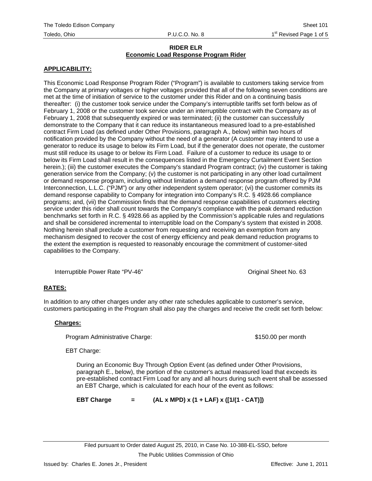#### **APPLICABILITY:**

This Economic Load Response Program Rider ("Program") is available to customers taking service from the Company at primary voltages or higher voltages provided that all of the following seven conditions are met at the time of initiation of service to the customer under this Rider and on a continuing basis thereafter: (i) the customer took service under the Company's interruptible tariffs set forth below as of February 1, 2008 or the customer took service under an interruptible contract with the Company as of February 1, 2008 that subsequently expired or was terminated; (ii) the customer can successfully demonstrate to the Company that it can reduce its instantaneous measured load to a pre-established contract Firm Load (as defined under Other Provisions, paragraph A., below) within two hours of notification provided by the Company without the need of a generator (A customer may intend to use a generator to reduce its usage to below its Firm Load, but if the generator does not operate, the customer must still reduce its usage to or below its Firm Load. Failure of a customer to reduce its usage to or below its Firm Load shall result in the consequences listed in the Emergency Curtailment Event Section herein.); (iii) the customer executes the Company's standard Program contract; (iv) the customer is taking generation service from the Company; (v) the customer is not participating in any other load curtailment or demand response program, including without limitation a demand response program offered by PJM Interconnection, L.L.C. ("PJM") or any other independent system operator; (vi) the customer commits its demand response capability to Company for integration into Company's R.C. § 4928.66 compliance programs; and, (vii) the Commission finds that the demand response capabilities of customers electing service under this rider shall count towards the Company's compliance with the peak demand reduction benchmarks set forth in R.C. § 4928.66 as applied by the Commission's applicable rules and regulations and shall be considered incremental to interruptible load on the Company's system that existed in 2008. Nothing herein shall preclude a customer from requesting and receiving an exemption from any mechanism designed to recover the cost of energy efficiency and peak demand reduction programs to the extent the exemption is requested to reasonably encourage the commitment of customer-sited capabilities to the Company.

Interruptible Power Rate "PV-46" Noted that the Common Contained Sheet No. 63

### **RATES:**

In addition to any other charges under any other rate schedules applicable to customer's service, customers participating in the Program shall also pay the charges and receive the credit set forth below:

#### **Charges:**

Program Administrative Charge:  $$150.00$  per month

EBT Charge:

During an Economic Buy Through Option Event (as defined under Other Provisions, paragraph E., below), the portion of the customer's actual measured load that exceeds its pre-established contract Firm Load for any and all hours during such event shall be assessed an EBT Charge, which is calculated for each hour of the event as follows:

**EBT Charge = (AL x MPD) x (1 + LAF) x ([1/(1 - CAT)])**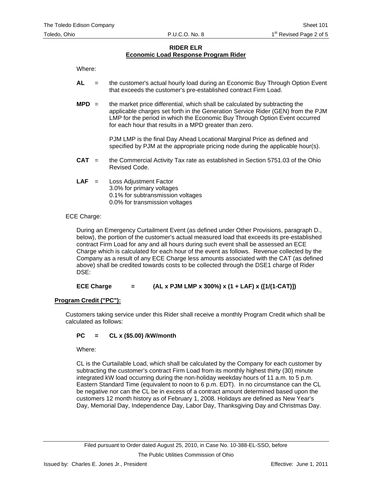Where:

- **AL** = the customer's actual hourly load during an Economic Buy Through Option Event that exceeds the customer's pre-established contract Firm Load.
- **MPD** = the market price differential, which shall be calculated by subtracting the applicable charges set forth in the Generation Service Rider (GEN) from the PJM LMP for the period in which the Economic Buy Through Option Event occurred for each hour that results in a MPD greater than zero.

PJM LMP is the final Day Ahead Locational Marginal Price as defined and specified by PJM at the appropriate pricing node during the applicable hour(s).

- **CAT** = the Commercial Activity Tax rate as established in Section 5751.03 of the Ohio Revised Code.
- **LAF** = Loss Adjustment Factor 3.0% for primary voltages 0.1% for subtransmission voltages 0.0% for transmission voltages

#### ECE Charge:

During an Emergency Curtailment Event (as defined under Other Provisions, paragraph D., below), the portion of the customer's actual measured load that exceeds its pre-established contract Firm Load for any and all hours during such event shall be assessed an ECE Charge which is calculated for each hour of the event as follows. Revenue collected by the Company as a result of any ECE Charge less amounts associated with the CAT (as defined above) shall be credited towards costs to be collected through the DSE1 charge of Rider DSE:

#### **ECE Charge = (AL x PJM LMP x 300%) x (1 + LAF) x ([1/(1-CAT)])**

### **Program Credit ("PC"):**

Customers taking service under this Rider shall receive a monthly Program Credit which shall be calculated as follows:

### **PC = CL x (\$5.00) /kW/month**

Where:

CL is the Curtailable Load, which shall be calculated by the Company for each customer by subtracting the customer's contract Firm Load from its monthly highest thirty (30) minute integrated kW load occurring during the non-holiday weekday hours of 11 a.m. to 5 p.m. Eastern Standard Time (equivalent to noon to 6 p.m. EDT). In no circumstance can the CL be negative nor can the CL be in excess of a contract amount determined based upon the customers 12 month history as of February 1, 2008. Holidays are defined as New Year's Day, Memorial Day, Independence Day, Labor Day, Thanksgiving Day and Christmas Day.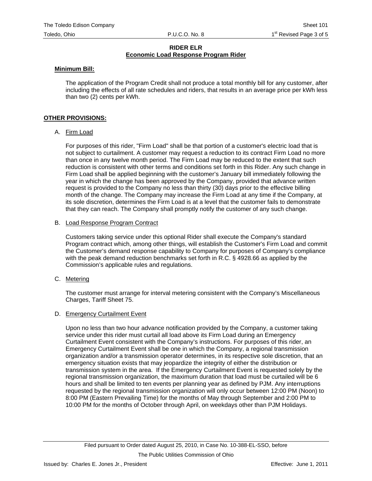#### **Minimum Bill:**

The application of the Program Credit shall not produce a total monthly bill for any customer, after including the effects of all rate schedules and riders, that results in an average price per kWh less than two (2) cents per kWh.

#### **OTHER PROVISIONS:**

#### A. Firm Load

For purposes of this rider, "Firm Load" shall be that portion of a customer's electric load that is not subject to curtailment. A customer may request a reduction to its contract Firm Load no more than once in any twelve month period. The Firm Load may be reduced to the extent that such reduction is consistent with other terms and conditions set forth in this Rider. Any such change in Firm Load shall be applied beginning with the customer's January bill immediately following the year in which the change has been approved by the Company, provided that advance written request is provided to the Company no less than thirty (30) days prior to the effective billing month of the change. The Company may increase the Firm Load at any time if the Company, at its sole discretion, determines the Firm Load is at a level that the customer fails to demonstrate that they can reach. The Company shall promptly notify the customer of any such change.

#### B. Load Response Program Contract

Customers taking service under this optional Rider shall execute the Company's standard Program contract which, among other things, will establish the Customer's Firm Load and commit the Customer's demand response capability to Company for purposes of Company's compliance with the peak demand reduction benchmarks set forth in R.C. § 4928.66 as applied by the Commission's applicable rules and regulations.

C. Metering

The customer must arrange for interval metering consistent with the Company's Miscellaneous Charges, Tariff Sheet 75.

#### D. Emergency Curtailment Event

Upon no less than two hour advance notification provided by the Company, a customer taking service under this rider must curtail all load above its Firm Load during an Emergency Curtailment Event consistent with the Company's instructions. For purposes of this rider, an Emergency Curtailment Event shall be one in which the Company, a regional transmission organization and/or a transmission operator determines, in its respective sole discretion, that an emergency situation exists that may jeopardize the integrity of either the distribution or transmission system in the area. If the Emergency Curtailment Event is requested solely by the regional transmission organization, the maximum duration that load must be curtailed will be 6 hours and shall be limited to ten events per planning year as defined by PJM. Any interruptions requested by the regional transmission organization will only occur between 12:00 PM (Noon) to 8:00 PM (Eastern Prevailing Time) for the months of May through September and 2:00 PM to 10:00 PM for the months of October through April, on weekdays other than PJM Holidays.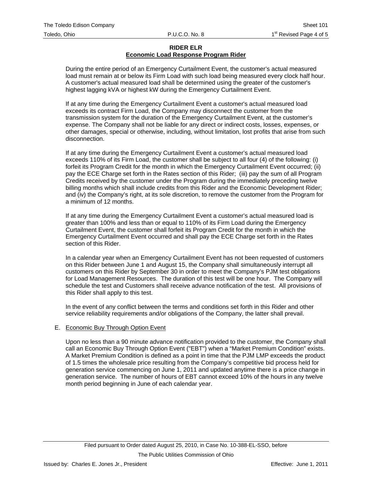During the entire period of an Emergency Curtailment Event, the customer's actual measured load must remain at or below its Firm Load with such load being measured every clock half hour. A customer's actual measured load shall be determined using the greater of the customer's highest lagging kVA or highest kW during the Emergency Curtailment Event.

If at any time during the Emergency Curtailment Event a customer's actual measured load exceeds its contract Firm Load, the Company may disconnect the customer from the transmission system for the duration of the Emergency Curtailment Event, at the customer's expense. The Company shall not be liable for any direct or indirect costs, losses, expenses, or other damages, special or otherwise, including, without limitation, lost profits that arise from such disconnection.

If at any time during the Emergency Curtailment Event a customer's actual measured load exceeds 110% of its Firm Load, the customer shall be subject to all four (4) of the following: (i) forfeit its Program Credit for the month in which the Emergency Curtailment Event occurred; (ii) pay the ECE Charge set forth in the Rates section of this Rider; (iii) pay the sum of all Program Credits received by the customer under the Program during the immediately preceding twelve billing months which shall include credits from this Rider and the Economic Development Rider; and (iv) the Company's right, at its sole discretion, to remove the customer from the Program for a minimum of 12 months.

If at any time during the Emergency Curtailment Event a customer's actual measured load is greater than 100% and less than or equal to 110% of its Firm Load during the Emergency Curtailment Event, the customer shall forfeit its Program Credit for the month in which the Emergency Curtailment Event occurred and shall pay the ECE Charge set forth in the Rates section of this Rider.

In a calendar year when an Emergency Curtailment Event has not been requested of customers on this Rider between June 1 and August 15, the Company shall simultaneously interrupt all customers on this Rider by September 30 in order to meet the Company's PJM test obligations for Load Management Resources. The duration of this test will be one hour. The Company will schedule the test and Customers shall receive advance notification of the test. All provisions of this Rider shall apply to this test.

In the event of any conflict between the terms and conditions set forth in this Rider and other service reliability requirements and/or obligations of the Company, the latter shall prevail.

#### E. Economic Buy Through Option Event

Upon no less than a 90 minute advance notification provided to the customer, the Company shall call an Economic Buy Through Option Event ("EBT") when a "Market Premium Condition" exists. A Market Premium Condition is defined as a point in time that the PJM LMP exceeds the product of 1.5 times the wholesale price resulting from the Company's competitive bid process held for generation service commencing on June 1, 2011 and updated anytime there is a price change in generation service. The number of hours of EBT cannot exceed 10% of the hours in any twelve month period beginning in June of each calendar year.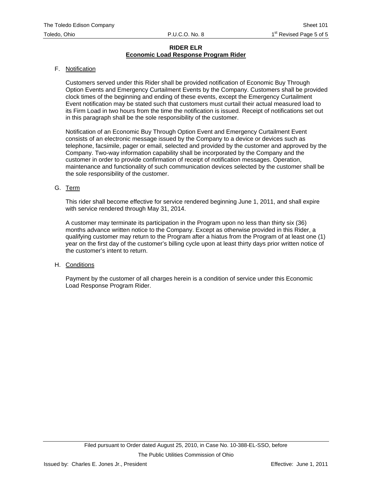#### F. Notification

Customers served under this Rider shall be provided notification of Economic Buy Through Option Events and Emergency Curtailment Events by the Company. Customers shall be provided clock times of the beginning and ending of these events, except the Emergency Curtailment Event notification may be stated such that customers must curtail their actual measured load to its Firm Load in two hours from the time the notification is issued. Receipt of notifications set out in this paragraph shall be the sole responsibility of the customer.

Notification of an Economic Buy Through Option Event and Emergency Curtailment Event consists of an electronic message issued by the Company to a device or devices such as telephone, facsimile, pager or email, selected and provided by the customer and approved by the Company. Two-way information capability shall be incorporated by the Company and the customer in order to provide confirmation of receipt of notification messages. Operation, maintenance and functionality of such communication devices selected by the customer shall be the sole responsibility of the customer.

#### G. Term

This rider shall become effective for service rendered beginning June 1, 2011, and shall expire with service rendered through May 31, 2014.

A customer may terminate its participation in the Program upon no less than thirty six (36) months advance written notice to the Company. Except as otherwise provided in this Rider, a qualifying customer may return to the Program after a hiatus from the Program of at least one (1) year on the first day of the customer's billing cycle upon at least thirty days prior written notice of the customer's intent to return.

#### H. Conditions

Payment by the customer of all charges herein is a condition of service under this Economic Load Response Program Rider.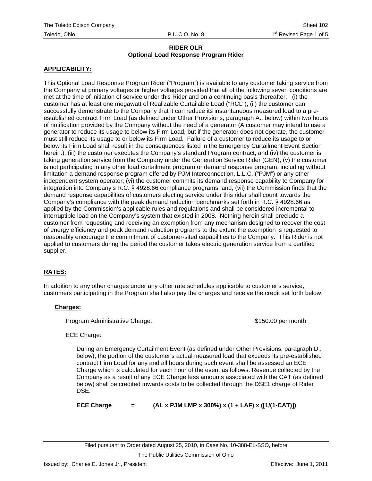### **APPLICABILITY:**

This Optional Load Response Program Rider ("Program") is available to any customer taking service from the Company at primary voltages or higher voltages provided that all of the following seven conditions are met at the time of initiation of service under this Rider and on a continuing basis thereafter: (i) the customer has at least one megawatt of Realizable Curtailable Load ("RCL"); (ii) the customer can successfully demonstrate to the Company that it can reduce its instantaneous measured load to a preestablished contract Firm Load (as defined under Other Provisions, paragraph A., below) within two hours of notification provided by the Company without the need of a generator (A customer may intend to use a generator to reduce its usage to below its Firm Load, but if the generator does not operate, the customer must still reduce its usage to or below its Firm Load. Failure of a customer to reduce its usage to or below its Firm Load shall result in the consequences listed in the Emergency Curtailment Event Section herein.); (iii) the customer executes the Company's standard Program contract; and (iv) the customer is taking generation service from the Company under the Generation Service Rider (GEN); (v) the customer is not participating in any other load curtailment program or demand response program, including without limitation a demand response program offered by PJM Interconnection, L.L.C. ("PJM") or any other independent system operator; (vi) the customer commits its demand response capability to Company for integration into Company's R.C. § 4928.66 compliance programs; and, (vii) the Commission finds that the demand response capabilities of customers electing service under this rider shall count towards the Company's compliance with the peak demand reduction benchmarks set forth in R.C. § 4928.66 as applied by the Commission's applicable rules and regulations and shall be considered incremental to interruptible load on the Company's system that existed in 2008. Nothing herein shall preclude a customer from requesting and receiving an exemption from any mechanism designed to recover the cost of energy efficiency and peak demand reduction programs to the extent the exemption is requested to reasonably encourage the commitment of customer-sited capabilities to the Company. This Rider is not applied to customers during the period the customer takes electric generation service from a certified supplier.

# **RATES:**

In addition to any other charges under any other rate schedules applicable to customer's service, customers participating in the Program shall also pay the charges and receive the credit set forth below:

### **Charges:**

Program Administrative Charge:  $$150.00$  per month

### ECE Charge:

During an Emergency Curtailment Event (as defined under Other Provisions, paragraph D., below), the portion of the customer's actual measured load that exceeds its pre-established contract Firm Load for any and all hours during such event shall be assessed an ECE Charge which is calculated for each hour of the event as follows. Revenue collected by the Company as a result of any ECE Charge less amounts associated with the CAT (as defined below) shall be credited towards costs to be collected through the DSE1 charge of Rider DSE:

**ECE Charge = (AL x PJM LMP x 300%) x (1 + LAF) x ([1/(1-CAT)])**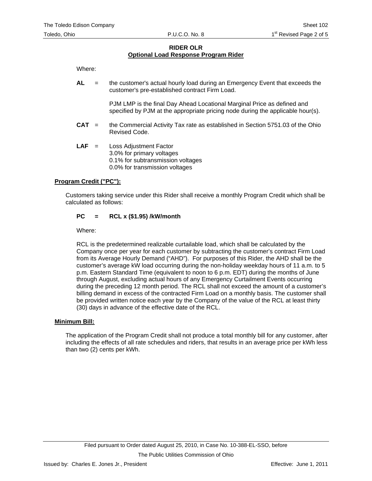Where:

**AL** = the customer's actual hourly load during an Emergency Event that exceeds the customer's pre-established contract Firm Load.

> PJM LMP is the final Day Ahead Locational Marginal Price as defined and specified by PJM at the appropriate pricing node during the applicable hour(s).

- **CAT** = the Commercial Activity Tax rate as established in Section 5751.03 of the Ohio Revised Code.
- **LAF** = Loss Adjustment Factor 3.0% for primary voltages 0.1% for subtransmission voltages 0.0% for transmission voltages

#### **Program Credit ("PC"):**

Customers taking service under this Rider shall receive a monthly Program Credit which shall be calculated as follows:

#### **PC = RCL x (\$1.95) /kW/month**

Where:

RCL is the predetermined realizable curtailable load, which shall be calculated by the Company once per year for each customer by subtracting the customer's contract Firm Load from its Average Hourly Demand ("AHD"). For purposes of this Rider, the AHD shall be the customer's average kW load occurring during the non-holiday weekday hours of 11 a.m. to 5 p.m. Eastern Standard Time (equivalent to noon to 6 p.m. EDT) during the months of June through August, excluding actual hours of any Emergency Curtailment Events occurring during the preceding 12 month period. The RCL shall not exceed the amount of a customer's billing demand in excess of the contracted Firm Load on a monthly basis. The customer shall be provided written notice each year by the Company of the value of the RCL at least thirty (30) days in advance of the effective date of the RCL.

#### **Minimum Bill:**

The application of the Program Credit shall not produce a total monthly bill for any customer, after including the effects of all rate schedules and riders, that results in an average price per kWh less than two (2) cents per kWh.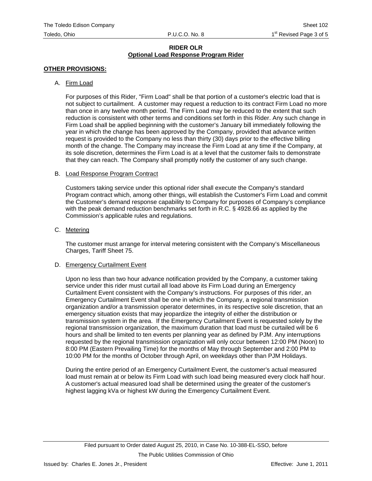## **OTHER PROVISIONS:**

### A. Firm Load

For purposes of this Rider, "Firm Load" shall be that portion of a customer's electric load that is not subject to curtailment. A customer may request a reduction to its contract Firm Load no more than once in any twelve month period. The Firm Load may be reduced to the extent that such reduction is consistent with other terms and conditions set forth in this Rider. Any such change in Firm Load shall be applied beginning with the customer's January bill immediately following the year in which the change has been approved by the Company, provided that advance written request is provided to the Company no less than thirty (30) days prior to the effective billing month of the change. The Company may increase the Firm Load at any time if the Company, at its sole discretion, determines the Firm Load is at a level that the customer fails to demonstrate that they can reach. The Company shall promptly notify the customer of any such change.

### B. Load Response Program Contract

Customers taking service under this optional rider shall execute the Company's standard Program contract which, among other things, will establish the Customer's Firm Load and commit the Customer's demand response capability to Company for purposes of Company's compliance with the peak demand reduction benchmarks set forth in R.C. § 4928.66 as applied by the Commission's applicable rules and regulations.

### C. Metering

The customer must arrange for interval metering consistent with the Company's Miscellaneous Charges, Tariff Sheet 75.

### D. Emergency Curtailment Event

Upon no less than two hour advance notification provided by the Company, a customer taking service under this rider must curtail all load above its Firm Load during an Emergency Curtailment Event consistent with the Company's instructions. For purposes of this rider, an Emergency Curtailment Event shall be one in which the Company, a regional transmission organization and/or a transmission operator determines, in its respective sole discretion, that an emergency situation exists that may jeopardize the integrity of either the distribution or transmission system in the area. If the Emergency Curtailment Event is requested solely by the regional transmission organization, the maximum duration that load must be curtailed will be 6 hours and shall be limited to ten events per planning year as defined by PJM. Any interruptions requested by the regional transmission organization will only occur between 12:00 PM (Noon) to 8:00 PM (Eastern Prevailing Time) for the months of May through September and 2:00 PM to 10:00 PM for the months of October through April, on weekdays other than PJM Holidays.

During the entire period of an Emergency Curtailment Event, the customer's actual measured load must remain at or below its Firm Load with such load being measured every clock half hour. A customer's actual measured load shall be determined using the greater of the customer's highest lagging kVa or highest kW during the Emergency Curtailment Event.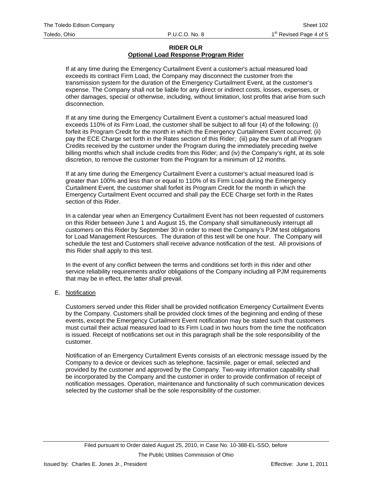If at any time during the Emergency Curtailment Event a customer's actual measured load exceeds its contract Firm Load, the Company may disconnect the customer from the transmission system for the duration of the Emergency Curtailment Event, at the customer's expense. The Company shall not be liable for any direct or indirect costs, losses, expenses, or other damages, special or otherwise, including, without limitation, lost profits that arise from such disconnection.

If at any time during the Emergency Curtailment Event a customer's actual measured load exceeds 110% of its Firm Load, the customer shall be subject to all four (4) of the following: (i) forfeit its Program Credit for the month in which the Emergency Curtailment Event occurred; (ii) pay the ECE Charge set forth in the Rates section of this Rider; (iii) pay the sum of all Program Credits received by the customer under the Program during the immediately preceding twelve billing months which shall include credits from this Rider; and (iv) the Company's right, at its sole discretion, to remove the customer from the Program for a minimum of 12 months.

If at any time during the Emergency Curtailment Event a customer's actual measured load is greater than 100% and less than or equal to 110% of its Firm Load during the Emergency Curtailment Event, the customer shall forfeit its Program Credit for the month in which the Emergency Curtailment Event occurred and shall pay the ECE Charge set forth in the Rates section of this Rider.

In a calendar year when an Emergency Curtailment Event has not been requested of customers on this Rider between June 1 and August 15, the Company shall simultaneously interrupt all customers on this Rider by September 30 in order to meet the Company's PJM test obligations for Load Management Resources. The duration of this test will be one hour. The Company will schedule the test and Customers shall receive advance notification of the test. All provisions of this Rider shall apply to this test.

In the event of any conflict between the terms and conditions set forth in this rider and other service reliability requirements and/or obligations of the Company including all PJM requirements that may be in effect, the latter shall prevail.

### E. Notification

Customers served under this Rider shall be provided notification Emergency Curtailment Events by the Company. Customers shall be provided clock times of the beginning and ending of these events, except the Emergency Curtailment Event notification may be stated such that customers must curtail their actual measured load to its Firm Load in two hours from the time the notification is issued. Receipt of notifications set out in this paragraph shall be the sole responsibility of the customer.

Notification of an Emergency Curtailment Events consists of an electronic message issued by the Company to a device or devices such as telephone, facsimile, pager or email, selected and provided by the customer and approved by the Company. Two-way information capability shall be incorporated by the Company and the customer in order to provide confirmation of receipt of notification messages. Operation, maintenance and functionality of such communication devices selected by the customer shall be the sole responsibility of the customer.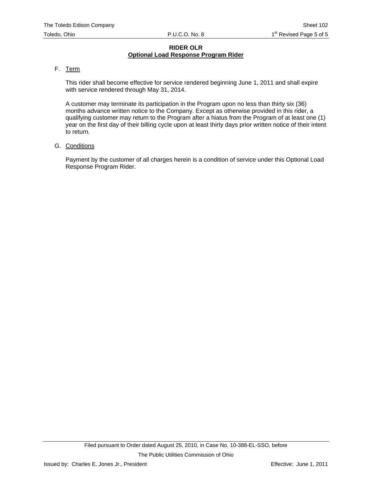## F. Term

This rider shall become effective for service rendered beginning June 1, 2011 and shall expire with service rendered through May 31, 2014.

A customer may terminate its participation in the Program upon no less than thirty six (36) months advance written notice to the Company. Except as otherwise provided in this rider, a qualifying customer may return to the Program after a hiatus from the Program of at least one (1) year on the first day of their billing cycle upon at least thirty days prior written notice of their intent to return.

G. Conditions

Payment by the customer of all charges herein is a condition of service under this Optional Load Response Program Rider.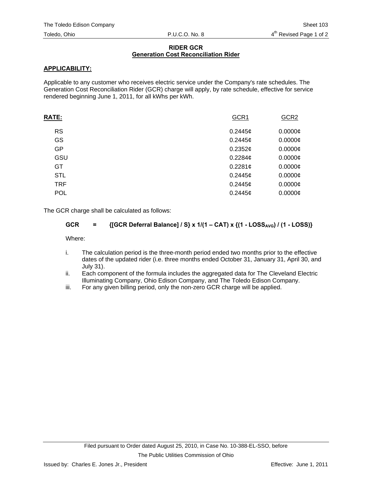### **RIDER GCR Generation Cost Reconciliation Rider**

## **APPLICABILITY:**

Applicable to any customer who receives electric service under the Company's rate schedules. The Generation Cost Reconciliation Rider (GCR) charge will apply, by rate schedule, effective for service rendered beginning June 1, 2011, for all kWhs per kWh.

| GCR1       | GCR <sub>2</sub> |
|------------|------------------|
| 0.2445c    | $0.0000$ ¢       |
| $0.2445$ ¢ | $0.0000$ ¢       |
| $0.2352$ ¢ | $0.0000$ ¢       |
| 0.2284c    | $0.0000$ ¢       |
| 0.2281¢    | $0.0000$ ¢       |
| $0.2445$ ¢ | $0.0000$ ¢       |
| 0.2445c    | $0.0000$ ¢       |
| 0.2445c    | $0.0000$ ¢       |
|            |                  |

The GCR charge shall be calculated as follows:

## **GCR** =  $\{[GCR\ \text{Deferral \text{Balance}]} / S\} \times 1/(1 - CAT) \times \{ (1 - LOSS_{AVG}) / (1 - LOSS) \}$

Where:

- i. The calculation period is the three-month period ended two months prior to the effective dates of the updated rider (i.e. three months ended October 31, January 31, April 30, and July 31).
- ii. Each component of the formula includes the aggregated data for The Cleveland Electric Illuminating Company, Ohio Edison Company, and The Toledo Edison Company.
- iii. For any given billing period, only the non-zero GCR charge will be applied.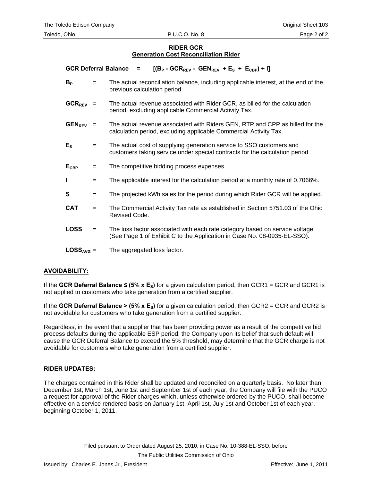#### **RIDER GCR Generation Cost Reconciliation Rider**

GCR Deferral Balance =  $[(B_P - GCR_{REV} - GEN_{REV} + E_S + E_{CBP}) + I]$ 

- $B<sub>P</sub>$   $=$  The actual reconciliation balance, including applicable interest, at the end of the previous calculation period.
- $GCR_{REV}$  = The actual revenue associated with Rider GCR, as billed for the calculation period, excluding applicable Commercial Activity Tax.
- **GEN<sub>REV</sub>** = The actual revenue associated with Riders GEN, RTP and CPP as billed for the calculation period, excluding applicable Commercial Activity Tax.
- **E<sub>S</sub>**  $=$  The actual cost of supplying generation service to SSO customers and customers taking service under special contracts for the calculation period.
- **E<sub>CBP</sub>** = The competitive bidding process expenses.
- **I**  $=$  The applicable interest for the calculation period at a monthly rate of 0.7066%.
- **S**  $=$  The projected kWh sales for the period during which Rider GCR will be applied.
- **CAT** = The Commercial Activity Tax rate as established in Section 5751.03 of the Ohio Revised Code.
- **LOSS** = The loss factor associated with each rate category based on service voltage. (See Page 1 of Exhibit C to the Application in Case No. 08-0935-EL-SSO).
- LOSS<sub>AVG</sub> = The aggregated loss factor.

### **AVOIDABILITY:**

If the GCR Deferral Balance  $\leq$  (5% x E<sub>s</sub>) for a given calculation period, then GCR1 = GCR and GCR1 is not applied to customers who take generation from a certified supplier.

If the **GCR Deferral Balance > (5% x E<sub>S</sub>)** for a given calculation period, then GCR2 = GCR and GCR2 is not avoidable for customers who take generation from a certified supplier.

Regardless, in the event that a supplier that has been providing power as a result of the competitive bid process defaults during the applicable ESP period, the Company upon its belief that such default will cause the GCR Deferral Balance to exceed the 5% threshold, may determine that the GCR charge is not avoidable for customers who take generation from a certified supplier.

#### **RIDER UPDATES:**

The charges contained in this Rider shall be updated and reconciled on a quarterly basis. No later than December 1st, March 1st, June 1st and September 1st of each year, the Company will file with the PUCO a request for approval of the Rider charges which, unless otherwise ordered by the PUCO, shall become effective on a service rendered basis on January 1st, April 1st, July 1st and October 1st of each year, beginning October 1, 2011.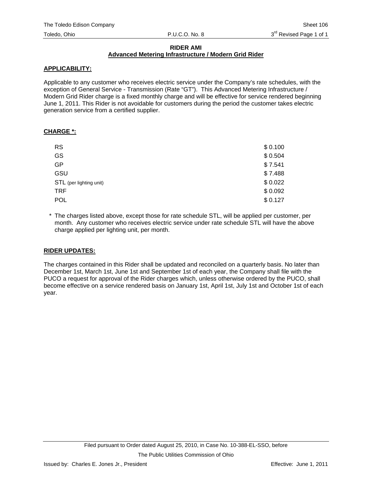#### **RIDER AMI Advanced Metering Infrastructure / Modern Grid Rider**

#### **APPLICABILITY:**

Applicable to any customer who receives electric service under the Company's rate schedules, with the exception of General Service - Transmission (Rate "GT"). This Advanced Metering Infrastructure / Modern Grid Rider charge is a fixed monthly charge and will be effective for service rendered beginning June 1, 2011. This Rider is not avoidable for customers during the period the customer takes electric generation service from a certified supplier.

#### **CHARGE \*:**

| <b>RS</b>               | \$0.100 |
|-------------------------|---------|
| <b>GS</b>               | \$0.504 |
| <b>GP</b>               | \$7.541 |
| GSU                     | \$7.488 |
| STL (per lighting unit) | \$0.022 |
| <b>TRF</b>              | \$0.092 |
| <b>POL</b>              | \$0.127 |

\* The charges listed above, except those for rate schedule STL, will be applied per customer, per month. Any customer who receives electric service under rate schedule STL will have the above charge applied per lighting unit, per month.

### **RIDER UPDATES:**

The charges contained in this Rider shall be updated and reconciled on a quarterly basis. No later than December 1st, March 1st, June 1st and September 1st of each year, the Company shall file with the PUCO a request for approval of the Rider charges which, unless otherwise ordered by the PUCO, shall become effective on a service rendered basis on January 1st, April 1st, July 1st and October 1st of each year.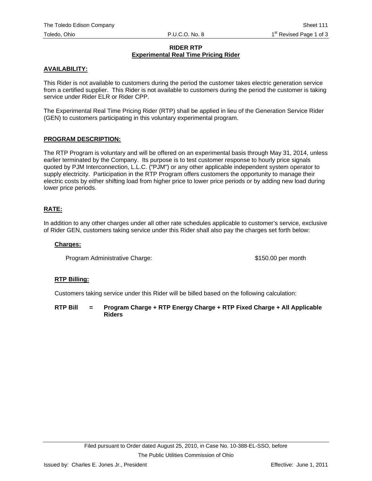#### **RIDER RTP Experimental Real Time Pricing Rider**

#### **AVAILABILITY:**

This Rider is not available to customers during the period the customer takes electric generation service from a certified supplier. This Rider is not available to customers during the period the customer is taking service under Rider ELR or Rider CPP.

The Experimental Real Time Pricing Rider (RTP) shall be applied in lieu of the Generation Service Rider (GEN) to customers participating in this voluntary experimental program.

#### **PROGRAM DESCRIPTION:**

The RTP Program is voluntary and will be offered on an experimental basis through May 31, 2014, unless earlier terminated by the Company. Its purpose is to test customer response to hourly price signals quoted by PJM Interconnection, L.L.C. ("PJM") or any other applicable independent system operator to supply electricity. Participation in the RTP Program offers customers the opportunity to manage their electric costs by either shifting load from higher price to lower price periods or by adding new load during lower price periods.

#### **RATE:**

In addition to any other charges under all other rate schedules applicable to customer's service, exclusive of Rider GEN, customers taking service under this Rider shall also pay the charges set forth below:

#### **Charges:**

Program Administrative Charge:  $$150.00$  per month

#### **RTP Billing:**

Customers taking service under this Rider will be billed based on the following calculation:

**RTP Bill = Program Charge + RTP Energy Charge + RTP Fixed Charge + All Applicable Riders**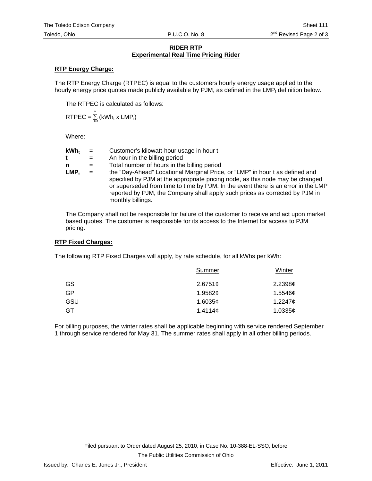#### **RIDER RTP Experimental Real Time Pricing Rider**

### **RTP Energy Charge:**

The RTP Energy Charge (RTPEC) is equal to the customers hourly energy usage applied to the hourly energy price quotes made publicly available by PJM, as defined in the  $LMP_t$  definition below.

The RTPEC is calculated as follows:

$$
RTPEC = \sum_{t=1}^{n} (kWh_t \times LMP_t)
$$

Where:

| $kWh_t$ | $=$ | Customer's kilowatt-hour usage in hour t                                                                                                                                                                                                                                                                                                               |
|---------|-----|--------------------------------------------------------------------------------------------------------------------------------------------------------------------------------------------------------------------------------------------------------------------------------------------------------------------------------------------------------|
| t       | $=$ | An hour in the billing period                                                                                                                                                                                                                                                                                                                          |
| n       | $=$ | Total number of hours in the billing period                                                                                                                                                                                                                                                                                                            |
| $LMP_t$ | $=$ | the "Day-Ahead" Locational Marginal Price, or "LMP" in hour t as defined and<br>specified by PJM at the appropriate pricing node, as this node may be changed<br>or superseded from time to time by PJM. In the event there is an error in the LMP<br>reported by PJM, the Company shall apply such prices as corrected by PJM in<br>monthly billings. |

The Company shall not be responsible for failure of the customer to receive and act upon market based quotes. The customer is responsible for its access to the Internet for access to PJM pricing.

### **RTP Fixed Charges:**

The following RTP Fixed Charges will apply, by rate schedule, for all kWhs per kWh:

| Summer          | Winter              |
|-----------------|---------------------|
| 2.6751¢         | 2.2398c             |
| 1.9582 $\sigma$ | $1.5546\mathcal{C}$ |
| 1.6035c         | $1.2247$ ¢          |
| 1.4114 $\phi$   | 1.0335c             |
|                 |                     |

For billing purposes, the winter rates shall be applicable beginning with service rendered September 1 through service rendered for May 31. The summer rates shall apply in all other billing periods.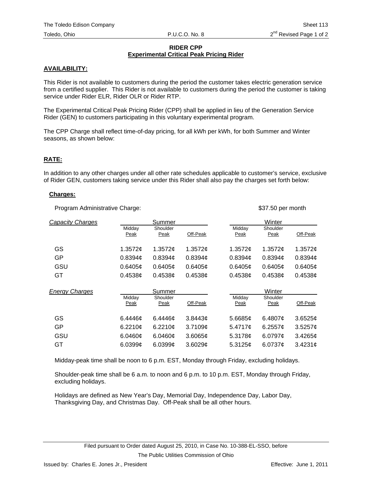#### **RIDER CPP Experimental Critical Peak Pricing Rider**

## **AVAILABILITY:**

This Rider is not available to customers during the period the customer takes electric generation service from a certified supplier. This Rider is not available to customers during the period the customer is taking service under Rider ELR, Rider OLR or Rider RTP.

The Experimental Critical Peak Pricing Rider (CPP) shall be applied in lieu of the Generation Service Rider (GEN) to customers participating in this voluntary experimental program.

The CPP Charge shall reflect time-of-day pricing, for all kWh per kWh, for both Summer and Winter seasons, as shown below:

#### **RATE:**

In addition to any other charges under all other rate schedules applicable to customer's service, exclusive of Rider GEN, customers taking service under this Rider shall also pay the charges set forth below:

#### **Charges:**

Program Administrative Charge:  $$37.50$  per month

| Capacity Charges      |                       | Summer           |          |                | Winter           |               |
|-----------------------|-----------------------|------------------|----------|----------------|------------------|---------------|
|                       | Midday<br><b>Peak</b> | Shoulder<br>Peak | Off-Peak | Midday<br>Peak | Shoulder<br>Peak | Off-Peak      |
| GS                    | 1.3572c               | 1.3572c          | 1.3572c  | 1.3572c        | 1.3572¢          | 1.3572 $\phi$ |
| GP                    | 0.8394c               | 0.8394c          | 0.8394c  | 0.8394c        | 0.8394c          | 0.8394c       |
| GSU                   | 0.6405c               | 0.6405c          | 0.6405c  | 0.6405c        | 0.6405c          | 0.6405c       |
| GT                    | 0.4538c               | 0.4538c          | 0.4538c  | 0.4538c        | 0.4538c          | 0.4538c       |
|                       |                       |                  |          |                |                  |               |
| <b>Energy Charges</b> |                       | Summer           |          |                | Winter           |               |
|                       | Midday<br>Peak        | Shoulder<br>Peak | Off-Peak | Midday<br>Peak | Shoulder<br>Peak | Off-Peak      |
| GS                    | 6.4446c               | 6.4446c          | 3.8443c  | 5.6685c        | 6.4807 $\sigma$  | $3.6525$ ¢    |
| GP                    | $6.2210$ ¢            | $6.2210$ ¢       | 3.7109c  | 5.4717c        | 6.2557 $\sigma$  | $3.5257$ ¢    |
| GSU                   | 6.0460c               | 6.0460¢          | 3.6065¢  | 5.3178c        | $6.0797$ ¢       | 3.4265¢       |

Midday-peak time shall be noon to 6 p.m. EST, Monday through Friday, excluding holidays.

Shoulder-peak time shall be 6 a.m. to noon and 6 p.m. to 10 p.m. EST, Monday through Friday, excluding holidays.

Holidays are defined as New Year's Day, Memorial Day, Independence Day, Labor Day, Thanksgiving Day, and Christmas Day. Off-Peak shall be all other hours.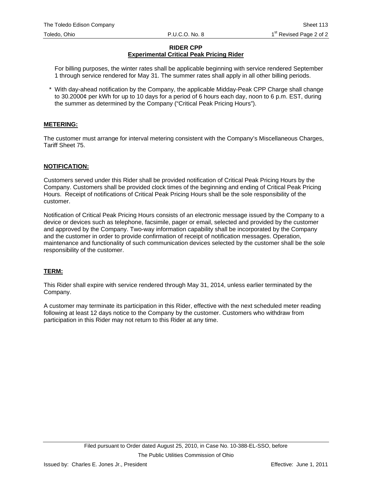#### **RIDER CPP Experimental Critical Peak Pricing Rider**

For billing purposes, the winter rates shall be applicable beginning with service rendered September 1 through service rendered for May 31. The summer rates shall apply in all other billing periods.

\* With day-ahead notification by the Company, the applicable Midday-Peak CPP Charge shall change to 30.2000¢ per kWh for up to 10 days for a period of 6 hours each day, noon to 6 p.m. EST, during the summer as determined by the Company ("Critical Peak Pricing Hours").

## **METERING:**

The customer must arrange for interval metering consistent with the Company's Miscellaneous Charges, Tariff Sheet 75.

### **NOTIFICATION:**

Customers served under this Rider shall be provided notification of Critical Peak Pricing Hours by the Company. Customers shall be provided clock times of the beginning and ending of Critical Peak Pricing Hours. Receipt of notifications of Critical Peak Pricing Hours shall be the sole responsibility of the customer.

Notification of Critical Peak Pricing Hours consists of an electronic message issued by the Company to a device or devices such as telephone, facsimile, pager or email, selected and provided by the customer and approved by the Company. Two-way information capability shall be incorporated by the Company and the customer in order to provide confirmation of receipt of notification messages. Operation, maintenance and functionality of such communication devices selected by the customer shall be the sole responsibility of the customer.

### **TERM:**

This Rider shall expire with service rendered through May 31, 2014, unless earlier terminated by the Company.

A customer may terminate its participation in this Rider, effective with the next scheduled meter reading following at least 12 days notice to the Company by the customer. Customers who withdraw from participation in this Rider may not return to this Rider at any time.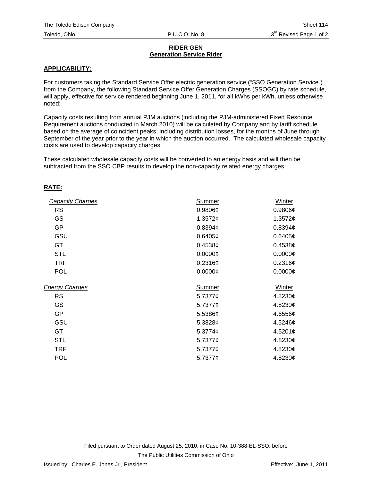#### **RIDER GEN Generation Service Rider**

#### **APPLICABILITY:**

For customers taking the Standard Service Offer electric generation service ("SSO Generation Service") from the Company, the following Standard Service Offer Generation Charges (SSOGC) by rate schedule, will apply, effective for service rendered beginning June 1, 2011, for all kWhs per kWh, unless otherwise noted:

Capacity costs resulting from annual PJM auctions (including the PJM-administered Fixed Resource Requirement auctions conducted in March 2010) will be calculated by Company and by tariff schedule based on the average of coincident peaks, including distribution losses, for the months of June through September of the year prior to the year in which the auction occurred. The calculated wholesale capacity costs are used to develop capacity charges.

These calculated wholesale capacity costs will be converted to an energy basis and will then be subtracted from the SSO CBP results to develop the non-capacity related energy charges.

### **RATE:**

| <b>Capacity Charges</b> | Summer              | Winter              |
|-------------------------|---------------------|---------------------|
| <b>RS</b>               | 0.9806¢             | $0.9806\phi$        |
| GS                      | 1.3572¢             | 1.3572 $\phi$       |
| <b>GP</b>               | 0.8394 <sub>¢</sub> | 0.8394 <sub>¢</sub> |
| GSU                     | 0.6405¢             | 0.6405¢             |
| GT                      | 0.4538c             | 0.4538¢             |
| <b>STL</b>              | $0.0000$ ¢          | $0.0000\phi$        |
| <b>TRF</b>              | 0.2316¢             | 0.2316¢             |
| <b>POL</b>              | $0.0000$ ¢          | $0.0000\phi$        |
|                         |                     |                     |
| <b>Energy Charges</b>   | Summer              | Winter              |
| <b>RS</b>               | 5.7377 $\phi$       | 4.8230¢             |
| GS                      | 5.7377 $\phi$       | 4.8230¢             |
| <b>GP</b>               | $5.5386$ ¢          | 4.6556¢             |
| GSU                     | 5.3828¢             | $4.5246\mathcal{C}$ |
| GT                      | $5.3774\mathcal{C}$ | 4.5201 $\phi$       |
| <b>STL</b>              | 5.7377 $\phi$       | 4.8230¢             |
| TRF                     | 5.7377 $\phi$       | 4.8230¢             |
| <b>POL</b>              |                     |                     |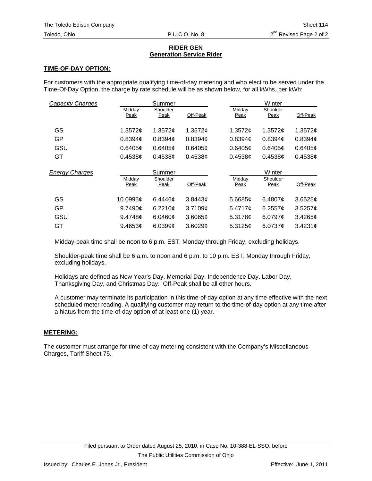#### **RIDER GEN Generation Service Rider**

### **TIME-OF-DAY OPTION:**

For customers with the appropriate qualifying time-of-day metering and who elect to be served under the Time-Of-Day Option, the charge by rate schedule will be as shown below, for all kWhs, per kWh:

| <b>Capacity Charges</b> |                | Summer           |          |                     | Winter           |            |
|-------------------------|----------------|------------------|----------|---------------------|------------------|------------|
|                         | Midday<br>Peak | Shoulder<br>Peak | Off-Peak | Midday<br>Peak      | Shoulder<br>Peak | Off-Peak   |
| GS                      | 1.3572c        | 1.3572 $\phi$    | 1.3572c  | 1.3572c             | 1.3572 $¢$       | 1.3572c    |
| GP                      | 0.8394c        | 0.8394c          | 0.8394c  | 0.8394 <sub>¢</sub> | 0.8394c          | 0.8394c    |
| GSU                     | 0.6405c        | 0.6405c          | 0.6405c  | 0.6405c             | 0.6405c          | 0.6405c    |
| GT                      | 0.4538c        | 0.4538c          | 0.4538c  | 0.4538c             | 0.4538c          | 0.4538c    |
|                         |                |                  |          |                     |                  |            |
|                         |                | Summer           |          |                     | Winter           |            |
| <b>Energy Charges</b>   | Midday<br>Peak | Shoulder<br>Peak | Off-Peak | Midday<br>Peak      | Shoulder<br>Peak | Off-Peak   |
| GS                      | 10.0995¢       | 6.4446 $\sigma$  | 3.8443c  | 5.6685c             | 6.4807 $\sigma$  | $3.6525$ ¢ |
| GP                      | 9.7490c        | 6.2210¢          | 3.7109c  | 5.4717c             | $6.2557$ ¢       | $3.5257$ ¢ |
| GSU                     | 9.4748 $\phi$  | 6.0460¢          | 3.6065¢  | 5.3178c             | 6.0797c          | 3.4265¢    |

Midday-peak time shall be noon to 6 p.m. EST, Monday through Friday, excluding holidays.

Shoulder-peak time shall be 6 a.m. to noon and 6 p.m. to 10 p.m. EST, Monday through Friday, excluding holidays.

Holidays are defined as New Year's Day, Memorial Day, Independence Day, Labor Day, Thanksgiving Day, and Christmas Day. Off-Peak shall be all other hours.

A customer may terminate its participation in this time-of-day option at any time effective with the next scheduled meter reading. A qualifying customer may return to the time-of-day option at any time after a hiatus from the time-of-day option of at least one (1) year.

### **METERING:**

The customer must arrange for time-of-day metering consistent with the Company's Miscellaneous Charges, Tariff Sheet 75.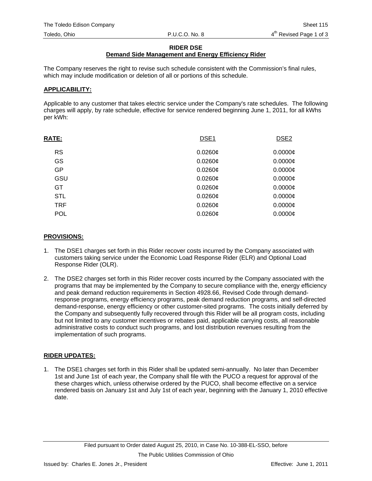#### **RIDER DSE**

# **Demand Side Management and Energy Efficiency Rider**

The Company reserves the right to revise such schedule consistent with the Commission's final rules, which may include modification or deletion of all or portions of this schedule.

#### **APPLICABILITY:**

Applicable to any customer that takes electric service under the Company's rate schedules. The following charges will apply, by rate schedule, effective for service rendered beginning June 1, 2011, for all kWhs per kWh:

| <b>RATE:</b> | DSE <sub>1</sub> | DSE <sub>2</sub> |
|--------------|------------------|------------------|
| <b>RS</b>    | $0.0260$ ¢       | $0.0000 \phi$    |
| <b>GS</b>    | $0.0260$ ¢       | $0.0000$ ¢       |
| <b>GP</b>    | $0.0260$ ¢       | $0.0000$ ¢       |
| GSU          | $0.0260$ ¢       | $0.0000$ ¢       |
| GT           | $0.0260$ ¢       | $0.0000$ ¢       |
| <b>STL</b>   | $0.0260$ ¢       | $0.0000$ ¢       |
| <b>TRF</b>   | $0.0260$ ¢       | $0.0000 \phi$    |
| <b>POL</b>   | $0.0260$ ¢       | $0.0000$ ¢       |

#### **PROVISIONS:**

- 1. The DSE1 charges set forth in this Rider recover costs incurred by the Company associated with customers taking service under the Economic Load Response Rider (ELR) and Optional Load Response Rider (OLR).
- 2. The DSE2 charges set forth in this Rider recover costs incurred by the Company associated with the programs that may be implemented by the Company to secure compliance with the, energy efficiency and peak demand reduction requirements in Section 4928.66, Revised Code through demandresponse programs, energy efficiency programs, peak demand reduction programs, and self-directed demand-response, energy efficiency or other customer-sited programs. The costs initially deferred by the Company and subsequently fully recovered through this Rider will be all program costs, including but not limited to any customer incentives or rebates paid, applicable carrying costs, all reasonable administrative costs to conduct such programs, and lost distribution revenues resulting from the implementation of such programs.

### **RIDER UPDATES:**

1. The DSE1 charges set forth in this Rider shall be updated semi-annually. No later than December 1st and June 1st of each year, the Company shall file with the PUCO a request for approval of the these charges which, unless otherwise ordered by the PUCO, shall become effective on a service rendered basis on January 1st and July 1st of each year, beginning with the January 1, 2010 effective date.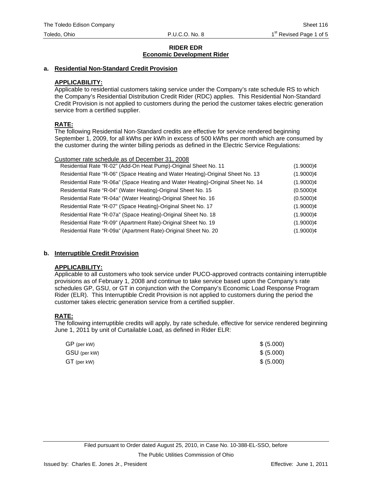#### **a. Residential Non-Standard Credit Provision**

### **APPLICABILITY:**

Applicable to residential customers taking service under the Company's rate schedule RS to which the Company's Residential Distribution Credit Rider (RDC) applies. This Residential Non-Standard Credit Provision is not applied to customers during the period the customer takes electric generation service from a certified supplier.

#### **RATE:**

The following Residential Non-Standard credits are effective for service rendered beginning September 1, 2009, for all kWhs per kWh in excess of 500 kWhs per month which are consumed by the customer during the winter billing periods as defined in the Electric Service Regulations:

| Customer rate schedule as of December 31, 2008                                   |              |
|----------------------------------------------------------------------------------|--------------|
| Residential Rate "R-02" (Add-On Heat Pump)-Original Sheet No. 11                 | $(1.9000)$ ¢ |
| Residential Rate "R-06" (Space Heating and Water Heating)-Original Sheet No. 13  | $(1.9000)$ ¢ |
| Residential Rate "R-06a" (Space Heating and Water Heating)-Original Sheet No. 14 | $(1.9000)$ ¢ |
| Residential Rate "R-04" (Water Heating)-Original Sheet No. 15                    | $(0.5000)$ ¢ |
| Residential Rate "R-04a" (Water Heating)-Original Sheet No. 16                   | $(0.5000)$ ¢ |
| Residential Rate "R-07" (Space Heating)-Original Sheet No. 17                    | $(1.9000)$ ¢ |
| Residential Rate "R-07a" (Space Heating)-Original Sheet No. 18                   | $(1.9000)$ ¢ |
| Residential Rate "R-09" (Apartment Rate)-Original Sheet No. 19                   | $(1.9000)$ ¢ |
| Residential Rate "R-09a" (Apartment Rate)-Original Sheet No. 20                  | $(1.9000)$ ¢ |
|                                                                                  |              |

### **b. Interruptible Credit Provision**

#### **APPLICABILITY:**

Applicable to all customers who took service under PUCO-approved contracts containing interruptible provisions as of February 1, 2008 and continue to take service based upon the Company's rate schedules GP, GSU, or GT in conjunction with the Company's Economic Load Response Program Rider (ELR). This Interruptible Credit Provision is not applied to customers during the period the customer takes electric generation service from a certified supplier.

### **RATE:**

The following interruptible credits will apply, by rate schedule, effective for service rendered beginning June 1, 2011 by unit of Curtailable Load, as defined in Rider ELR:

| $GP$ (per kW) | \$ (5.000) |
|---------------|------------|
| GSU (per kW)  | \$ (5.000) |
| $GT$ (per kW) | \$ (5.000) |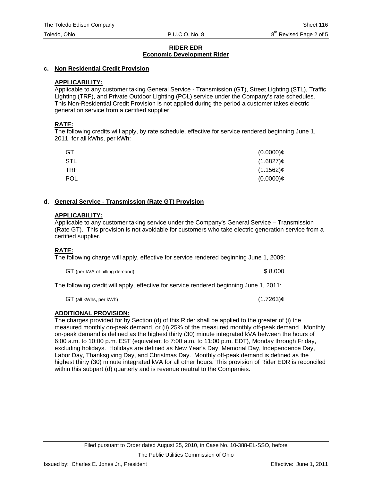#### **c. Non Residential Credit Provision**

#### **APPLICABILITY:**

Applicable to any customer taking General Service - Transmission (GT), Street Lighting (STL), Traffic Lighting (TRF), and Private Outdoor Lighting (POL) service under the Company's rate schedules. This Non-Residential Credit Provision is not applied during the period a customer takes electric generation service from a certified supplier.

#### **RATE:**

The following credits will apply, by rate schedule, effective for service rendered beginning June 1, 2011, for all kWhs, per kWh:

| GT         | $(0.0000)$ ¢ |
|------------|--------------|
| <b>STL</b> | $(1.6827)$ ¢ |
| TRF.       | $(1.1562)$ ¢ |
| <b>POL</b> | $(0.0000)$ ¢ |

#### **d. General Service - Transmission (Rate GT) Provision**

#### **APPLICABILITY:**

Applicable to any customer taking service under the Company's General Service – Transmission (Rate GT). This provision is not avoidable for customers who take electric generation service from a certified supplier.

### **RATE:**

The following charge will apply, effective for service rendered beginning June 1, 2009:

GT (per kVA of billing demand)  $$8.000$ 

The following credit will apply, effective for service rendered beginning June 1, 2011:

 $GT$  (all kWhs, per kWh) (1.7263) $\phi$ 

# **ADDITIONAL PROVISION:**

The charges provided for by Section (d) of this Rider shall be applied to the greater of (i) the measured monthly on-peak demand, or (ii) 25% of the measured monthly off-peak demand. Monthly on-peak demand is defined as the highest thirty (30) minute integrated kVA between the hours of 6:00 a.m. to 10:00 p.m. EST (equivalent to 7:00 a.m. to 11:00 p.m. EDT), Monday through Friday, excluding holidays. Holidays are defined as New Year's Day, Memorial Day, Independence Day, Labor Day, Thanksgiving Day, and Christmas Day. Monthly off-peak demand is defined as the highest thirty (30) minute integrated kVA for all other hours. This provision of Rider EDR is reconciled within this subpart (d) quarterly and is revenue neutral to the Companies.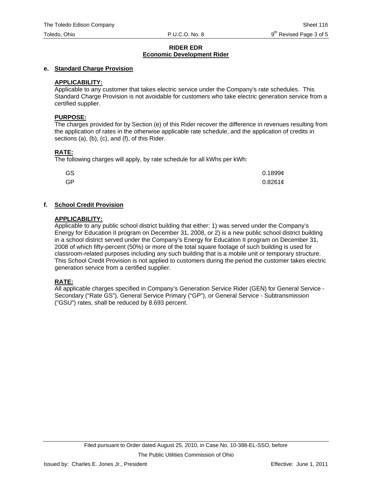### **e. Standard Charge Provision**

## **APPLICABILITY:**

Applicable to any customer that takes electric service under the Company's rate schedules. This Standard Charge Provision is not avoidable for customers who take electric generation service from a certified supplier.

### **PURPOSE:**

The charges provided for by Section (e) of this Rider recover the difference in revenues resulting from the application of rates in the otherwise applicable rate schedule, and the application of credits in sections (a), (b), (c), and (f), of this Rider.

## **RATE:**

The following charges will apply, by rate schedule for all kWhs per kWh:

| GS | 0.18996    |
|----|------------|
| GP | $0.8261$ ¢ |

## **f. School Credit Provision**

### **APPLICABILITY:**

Applicable to any public school district building that either: 1) was served under the Company's Energy for Education II program on December 31, 2008, or 2) is a new public school district building in a school district served under the Company's Energy for Education II program on December 31, 2008 of which fifty-percent (50%) or more of the total square footage of such building is used for classroom-related purposes including any such building that is a mobile unit or temporary structure. This School Credit Provision is not applied to customers during the period the customer takes electric generation service from a certified supplier.

## **RATE:**

All applicable charges specified in Company's Generation Service Rider (GEN) for General Service - Secondary ("Rate GS"), General Service Primary ("GP"), or General Service - Subtransmission ("GSU") rates, shall be reduced by 8.693 percent.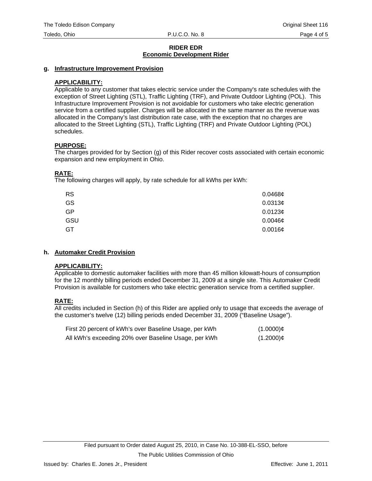### **g. Infrastructure Improvement Provision**

## **APPLICABILITY:**

Applicable to any customer that takes electric service under the Company's rate schedules with the exception of Street Lighting (STL), Traffic Lighting (TRF), and Private Outdoor Lighting (POL). This Infrastructure Improvement Provision is not avoidable for customers who take electric generation service from a certified supplier. Charges will be allocated in the same manner as the revenue was allocated in the Company's last distribution rate case, with the exception that no charges are allocated to the Street Lighting (STL), Traffic Lighting (TRF) and Private Outdoor Lighting (POL) schedules.

### **PURPOSE:**

The charges provided for by Section (g) of this Rider recover costs associated with certain economic expansion and new employment in Ohio.

## **RATE:**

The following charges will apply, by rate schedule for all kWhs per kWh:

| <b>RS</b> | 0.0468c      |
|-----------|--------------|
| GS        | 0.0313¢      |
| GP        | 0.0123¢      |
| GSU       | $0.0046$ ¢   |
| GT        | $0.0016\phi$ |

## **h. Automaker Credit Provision**

### **APPLICABILITY:**

Applicable to domestic automaker facilities with more than 45 million kilowatt-hours of consumption for the 12 monthly billing periods ended December 31, 2009 at a single site. This Automaker Credit Provision is available for customers who take electric generation service from a certified supplier.

## **RATE:**

All credits included in Section (h) of this Rider are applied only to usage that exceeds the average of the customer's twelve (12) billing periods ended December 31, 2009 ("Baseline Usage").

| First 20 percent of kWh's over Baseline Usage, per kWh | $(1.0000)$ ¢ |
|--------------------------------------------------------|--------------|
| All kWh's exceeding 20% over Baseline Usage, per kWh   | $(1.2000)$ ¢ |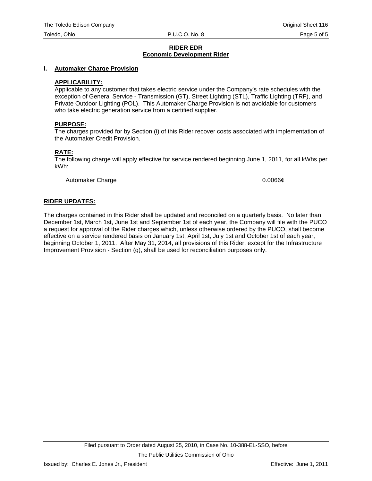#### **i. Automaker Charge Provision**

#### **APPLICABILITY:**

Applicable to any customer that takes electric service under the Company's rate schedules with the exception of General Service - Transmission (GT), Street Lighting (STL), Traffic Lighting (TRF), and Private Outdoor Lighting (POL). This Automaker Charge Provision is not avoidable for customers who take electric generation service from a certified supplier.

#### **PURPOSE:**

The charges provided for by Section (i) of this Rider recover costs associated with implementation of the Automaker Credit Provision.

#### **RATE:**

The following charge will apply effective for service rendered beginning June 1, 2011, for all kWhs per kWh:

Automaker Charge 0.0066¢

#### **RIDER UPDATES:**

The charges contained in this Rider shall be updated and reconciled on a quarterly basis. No later than December 1st, March 1st, June 1st and September 1st of each year, the Company will file with the PUCO a request for approval of the Rider charges which, unless otherwise ordered by the PUCO, shall become effective on a service rendered basis on January 1st, April 1st, July 1st and October 1st of each year, beginning October 1, 2011. After May 31, 2014, all provisions of this Rider, except for the Infrastructure Improvement Provision - Section (g), shall be used for reconciliation purposes only.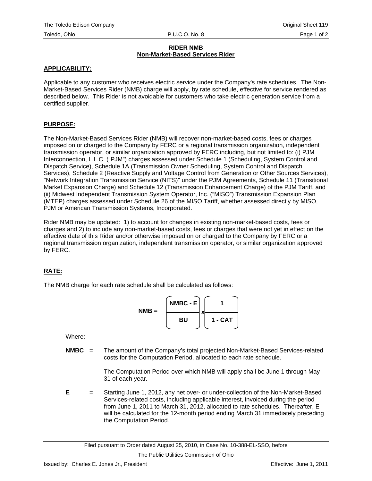### **RIDER NMB Non-Market-Based Services Rider**

## **APPLICABILITY:**

Applicable to any customer who receives electric service under the Company's rate schedules. The Non-Market-Based Services Rider (NMB) charge will apply, by rate schedule, effective for service rendered as described below. This Rider is not avoidable for customers who take electric generation service from a certified supplier.

## **PURPOSE:**

The Non-Market-Based Services Rider (NMB) will recover non-market-based costs, fees or charges imposed on or charged to the Company by FERC or a regional transmission organization, independent transmission operator, or similar organization approved by FERC including, but not limited to: (i) PJM Interconnection, L.L.C. ("PJM") charges assessed under Schedule 1 (Scheduling, System Control and Dispatch Service), Schedule 1A (Transmission Owner Scheduling, System Control and Dispatch Services), Schedule 2 (Reactive Supply and Voltage Control from Generation or Other Sources Services), "Network Integration Transmission Service (NITS)" under the PJM Agreements, Schedule 11 (Transitional Market Expansion Charge) and Schedule 12 (Transmission Enhancement Charge) of the PJM Tariff, and (ii) Midwest Independent Transmission System Operator, Inc. ("MISO") Transmission Expansion Plan (MTEP) charges assessed under Schedule 26 of the MISO Tariff, whether assessed directly by MISO, PJM or American Transmission Systems, Incorporated.

Rider NMB may be updated: 1) to account for changes in existing non-market-based costs, fees or charges and 2) to include any non-market-based costs, fees or charges that were not yet in effect on the effective date of this Rider and/or otherwise imposed on or charged to the Company by FERC or a regional transmission organization, independent transmission operator, or similar organization approved by FERC.

## **RATE:**

The NMB charge for each rate schedule shall be calculated as follows:

$$
NMB = \begin{bmatrix} NMBC - E \\ BU \end{bmatrix} \times \begin{bmatrix} 1 \\ 1 - CAT \end{bmatrix}
$$

Where:

**NMBC** = The amount of the Company's total projected Non-Market-Based Services-related costs for the Computation Period, allocated to each rate schedule.

> The Computation Period over which NMB will apply shall be June 1 through May 31 of each year.

**E** = Starting June 1, 2012, any net over- or under-collection of the Non-Market-Based Services-related costs, including applicable interest, invoiced during the period from June 1, 2011 to March 31, 2012, allocated to rate schedules. Thereafter, E will be calculated for the 12-month period ending March 31 immediately preceding the Computation Period.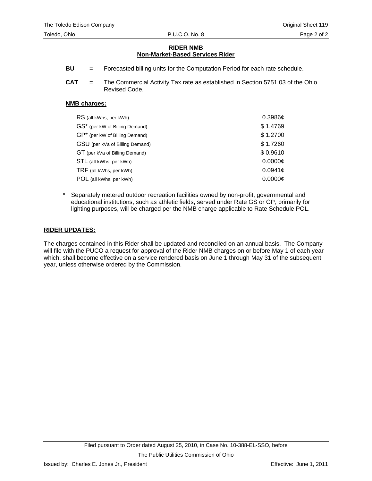## **RIDER NMB Non-Market-Based Services Rider**

- **BU** = Forecasted billing units for the Computation Period for each rate schedule.
- **CAT** = The Commercial Activity Tax rate as established in Section 5751.03 of the Ohio Revised Code.

#### **NMB charges:**

| RS (all kWhs, per kWh)          | 0.3986c  |
|---------------------------------|----------|
| GS* (per kW of Billing Demand)  | \$1.4769 |
| GP* (per kW of Billing Demand)  | \$1.2700 |
| GSU (per kVa of Billing Demand) | \$1.7260 |
| GT (per kVa of Billing Demand)  | \$0.9610 |
| STL (all kWhs, per kWh)         | 0.0000c  |
| TRF (all kWhs, per kWh)         | 0.0941c  |
| POL (all kWhs, per kWh)         | 0.0000C  |

Separately metered outdoor recreation facilities owned by non-profit, governmental and educational institutions, such as athletic fields, served under Rate GS or GP, primarily for lighting purposes, will be charged per the NMB charge applicable to Rate Schedule POL.

#### **RIDER UPDATES:**

The charges contained in this Rider shall be updated and reconciled on an annual basis. The Company will file with the PUCO a request for approval of the Rider NMB charges on or before May 1 of each year which, shall become effective on a service rendered basis on June 1 through May 31 of the subsequent year, unless otherwise ordered by the Commission.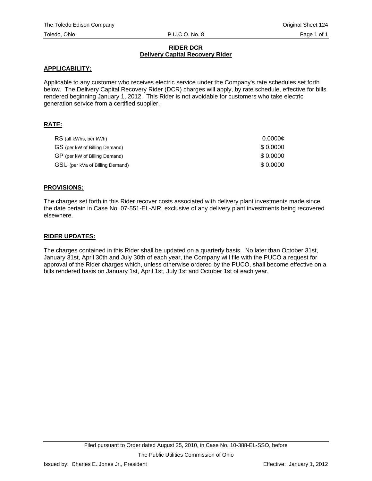#### **RIDER DCR Delivery Capital Recovery Rider**

#### **APPLICABILITY:**

Applicable to any customer who receives electric service under the Company's rate schedules set forth below. The Delivery Capital Recovery Rider (DCR) charges will apply, by rate schedule, effective for bills rendered beginning January 1, 2012. This Rider is not avoidable for customers who take electric generation service from a certified supplier.

## **RATE:**

| RS (all kWhs, per kWh)          | 0.0000c  |
|---------------------------------|----------|
| GS (per kW of Billing Demand)   | \$0.0000 |
| GP (per kW of Billing Demand)   | \$0.0000 |
| GSU (per kVa of Billing Demand) | \$0.0000 |

### **PROVISIONS:**

The charges set forth in this Rider recover costs associated with delivery plant investments made since the date certain in Case No. 07-551-EL-AIR, exclusive of any delivery plant investments being recovered elsewhere.

#### **RIDER UPDATES:**

The charges contained in this Rider shall be updated on a quarterly basis. No later than October 31st, January 31st, April 30th and July 30th of each year, the Company will file with the PUCO a request for approval of the Rider charges which, unless otherwise ordered by the PUCO, shall become effective on a bills rendered basis on January 1st, April 1st, July 1st and October 1st of each year.